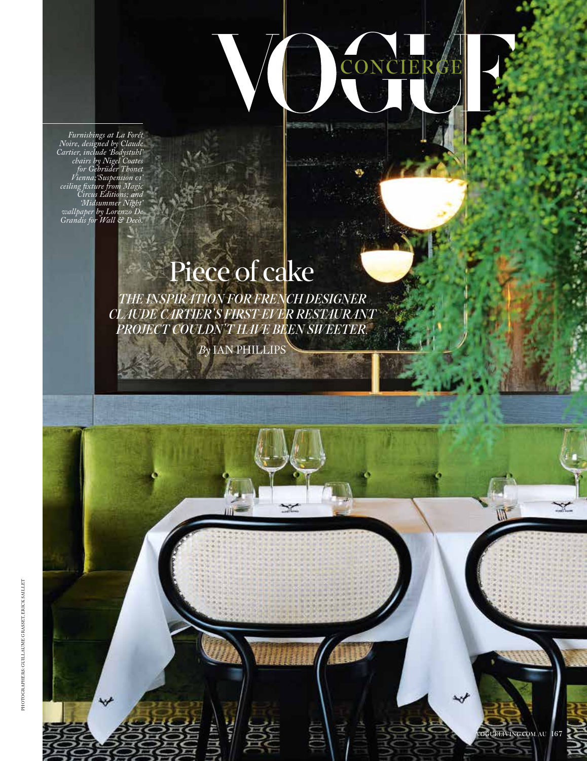*Furnishings at La Forêt Noire, designed by Claude Cartier, include 'Bodystuhl' chairs by Nigel Coates for Gebrüder Thonet Vienna;'Suspension 01' ceiling fixture from Magic Circus Editions; and 'Midsummer Night' wallpaper by Lorenzo De Grandis for Wall & Decò.*

## Piece of cake

CONCIER

**W** 

*THE INSPIRATION FOR FRENCH DESIGNER CLAUDE CARTIER'S FIRST-EVER RESTAURANT PROJECT COULDN'T HAVE BEEN SWEETER.*

*By* IAN PHILLIPS

VOGUELIVING.COM.AU 167

₩